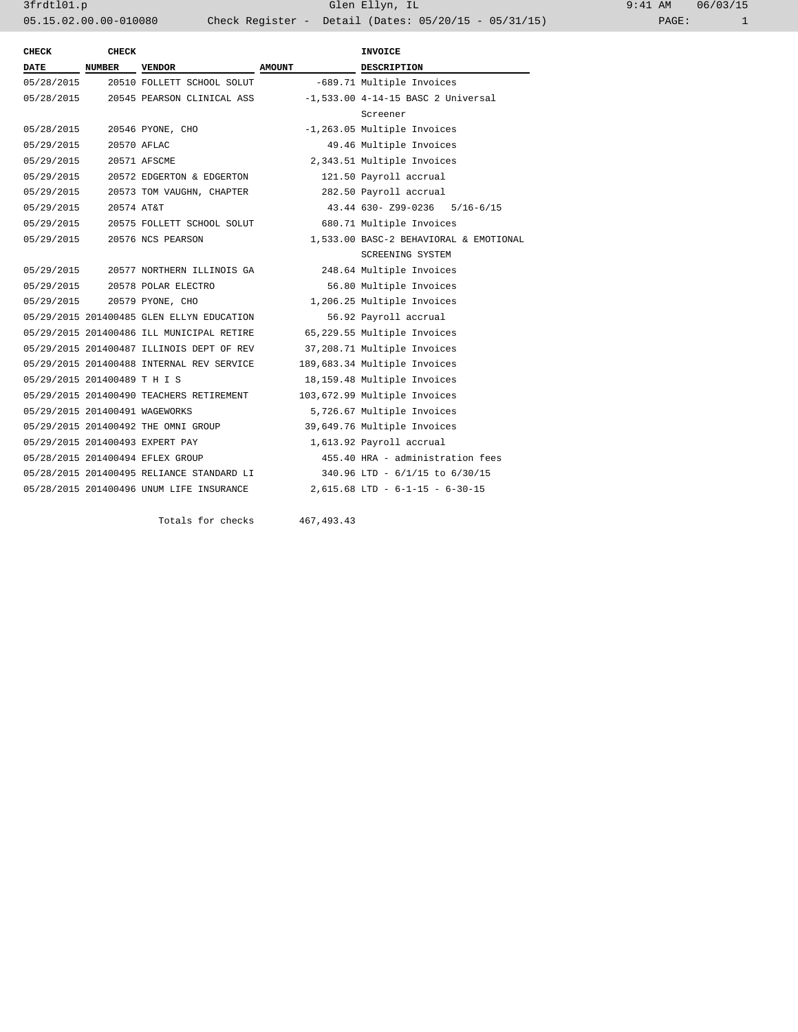3frdtl01.p Glen Ellyn, IL 9:41 AM 06/03/15 05.15.02.00.00-010080 Check Register - Detail (Dates: 05/20/15 - 05/31/15)

| <b>CHECK</b>                   | <b>CHECK</b> |                                           |               | <b>INVOICE</b>                         |
|--------------------------------|--------------|-------------------------------------------|---------------|----------------------------------------|
| <b>DATE</b>                    | NUMBER       | <b>VENDOR</b>                             | <b>AMOUNT</b> | <b>DESCRIPTION</b>                     |
| 05/28/2015                     |              | 20510 FOLLETT SCHOOL SOLUT                |               | -689.71 Multiple Invoices              |
| 05/28/2015                     |              | 20545 PEARSON CLINICAL ASS                |               | $-1,533.00$ 4-14-15 BASC 2 Universal   |
|                                |              |                                           |               | Screener                               |
| 05/28/2015                     |              | 20546 PYONE, CHO                          |               | -1,263.05 Multiple Invoices            |
| 05/29/2015                     |              | 20570 AFLAC                               |               | 49.46 Multiple Invoices                |
| 05/29/2015                     |              | 20571 AFSCME                              |               | 2,343.51 Multiple Invoices             |
| 05/29/2015                     |              | 20572 EDGERTON & EDGERTON                 |               | 121.50 Payroll accrual                 |
| 05/29/2015                     |              | 20573 TOM VAUGHN, CHAPTER                 |               | 282.50 Payroll accrual                 |
| 05/29/2015                     | 20574 AT&T   |                                           |               | 43.44 630- Z99-0236 5/16-6/15          |
| 05/29/2015                     |              | 20575 FOLLETT SCHOOL SOLUT                |               | 680.71 Multiple Invoices               |
| 05/29/2015                     |              | 20576 NCS PEARSON                         |               | 1,533.00 BASC-2 BEHAVIORAL & EMOTIONAL |
|                                |              |                                           |               | SCREENING SYSTEM                       |
|                                |              |                                           |               | 248.64 Multiple Invoices               |
|                                |              | 05/29/2015 20578 POLAR ELECTRO            |               | 56.80 Multiple Invoices                |
|                                |              | 05/29/2015 20579 PYONE, CHO               |               | 1,206.25 Multiple Invoices             |
|                                |              | 05/29/2015 201400485 GLEN ELLYN EDUCATION |               | 56.92 Payroll accrual                  |
|                                |              | 05/29/2015 201400486 ILL MUNICIPAL RETIRE |               | 65,229.55 Multiple Invoices            |
|                                |              | 05/29/2015 201400487 ILLINOIS DEPT OF REV |               | 37,208.71 Multiple Invoices            |
|                                |              | 05/29/2015 201400488 INTERNAL REV SERVICE |               | 189,683.34 Multiple Invoices           |
| 05/29/2015 201400489 T H I S   |              |                                           |               | 18,159.48 Multiple Invoices            |
|                                |              | 05/29/2015 201400490 TEACHERS RETIREMENT  |               | 103,672.99 Multiple Invoices           |
| 05/29/2015 201400491 WAGEWORKS |              |                                           |               | 5,726.67 Multiple Invoices             |
|                                |              | 05/29/2015 201400492 THE OMNI GROUP       |               | 39,649.76 Multiple Invoices            |
|                                |              | 05/29/2015 201400493 EXPERT PAY           |               | 1,613.92 Payroll accrual               |
|                                |              | 05/28/2015 201400494 EFLEX GROUP          |               | 455.40 HRA - administration fees       |
|                                |              | 05/28/2015 201400495 RELIANCE STANDARD LI |               | 340.96 LTD - $6/1/15$ to $6/30/15$     |
|                                |              | 05/28/2015 201400496 UNUM LIFE INSURANCE  |               | $2,615.68$ LTD - $6-1-15$ - $6-30-15$  |

Totals for checks 467,493.43